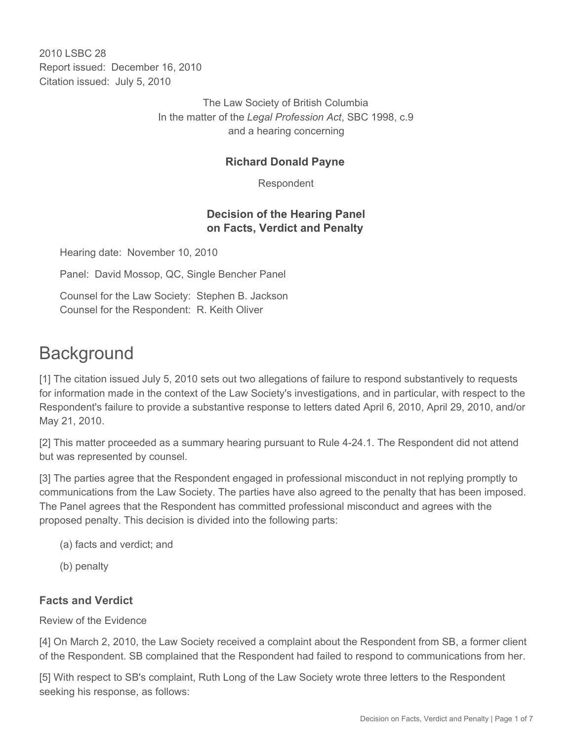2010 LSBC 28 Report issued: December 16, 2010 Citation issued: July 5, 2010

> The Law Society of British Columbia In the matter of the *Legal Profession Act*, SBC 1998, c.9 and a hearing concerning

#### **Richard Donald Payne**

Respondent

## **Decision of the Hearing Panel on Facts, Verdict and Penalty**

Hearing date: November 10, 2010

Panel: David Mossop, QC, Single Bencher Panel

Counsel for the Law Society: Stephen B. Jackson Counsel for the Respondent: R. Keith Oliver

# **Background**

[1] The citation issued July 5, 2010 sets out two allegations of failure to respond substantively to requests for information made in the context of the Law Society's investigations, and in particular, with respect to the Respondent's failure to provide a substantive response to letters dated April 6, 2010, April 29, 2010, and/or May 21, 2010.

[2] This matter proceeded as a summary hearing pursuant to Rule 4-24.1. The Respondent did not attend but was represented by counsel.

[3] The parties agree that the Respondent engaged in professional misconduct in not replying promptly to communications from the Law Society. The parties have also agreed to the penalty that has been imposed. The Panel agrees that the Respondent has committed professional misconduct and agrees with the proposed penalty. This decision is divided into the following parts:

- (a) facts and verdict; and
- (b) penalty

#### **Facts and Verdict**

Review of the Evidence

[4] On March 2, 2010, the Law Society received a complaint about the Respondent from SB, a former client of the Respondent. SB complained that the Respondent had failed to respond to communications from her.

[5] With respect to SB's complaint, Ruth Long of the Law Society wrote three letters to the Respondent seeking his response, as follows: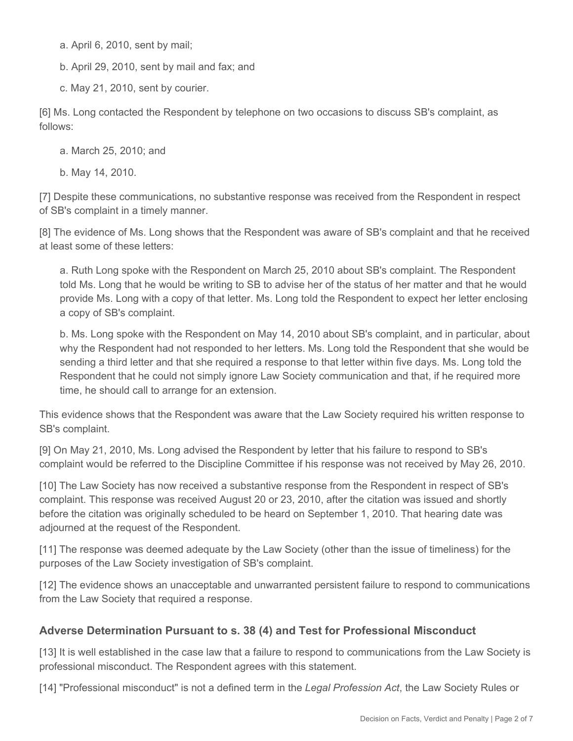a. April 6, 2010, sent by mail;

b. April 29, 2010, sent by mail and fax; and

c. May 21, 2010, sent by courier.

[6] Ms. Long contacted the Respondent by telephone on two occasions to discuss SB's complaint, as follows:

a. March 25, 2010; and

b. May 14, 2010.

[7] Despite these communications, no substantive response was received from the Respondent in respect of SB's complaint in a timely manner.

[8] The evidence of Ms. Long shows that the Respondent was aware of SB's complaint and that he received at least some of these letters:

a. Ruth Long spoke with the Respondent on March 25, 2010 about SB's complaint. The Respondent told Ms. Long that he would be writing to SB to advise her of the status of her matter and that he would provide Ms. Long with a copy of that letter. Ms. Long told the Respondent to expect her letter enclosing a copy of SB's complaint.

b. Ms. Long spoke with the Respondent on May 14, 2010 about SB's complaint, and in particular, about why the Respondent had not responded to her letters. Ms. Long told the Respondent that she would be sending a third letter and that she required a response to that letter within five days. Ms. Long told the Respondent that he could not simply ignore Law Society communication and that, if he required more time, he should call to arrange for an extension.

This evidence shows that the Respondent was aware that the Law Society required his written response to SB's complaint.

[9] On May 21, 2010, Ms. Long advised the Respondent by letter that his failure to respond to SB's complaint would be referred to the Discipline Committee if his response was not received by May 26, 2010.

[10] The Law Society has now received a substantive response from the Respondent in respect of SB's complaint. This response was received August 20 or 23, 2010, after the citation was issued and shortly before the citation was originally scheduled to be heard on September 1, 2010. That hearing date was adjourned at the request of the Respondent.

[11] The response was deemed adequate by the Law Society (other than the issue of timeliness) for the purposes of the Law Society investigation of SB's complaint.

[12] The evidence shows an unacceptable and unwarranted persistent failure to respond to communications from the Law Society that required a response.

## **Adverse Determination Pursuant to s. 38 (4) and Test for Professional Misconduct**

[13] It is well established in the case law that a failure to respond to communications from the Law Society is professional misconduct. The Respondent agrees with this statement.

[14] "Professional misconduct" is not a defined term in the *Legal Profession Act*, the Law Society Rules or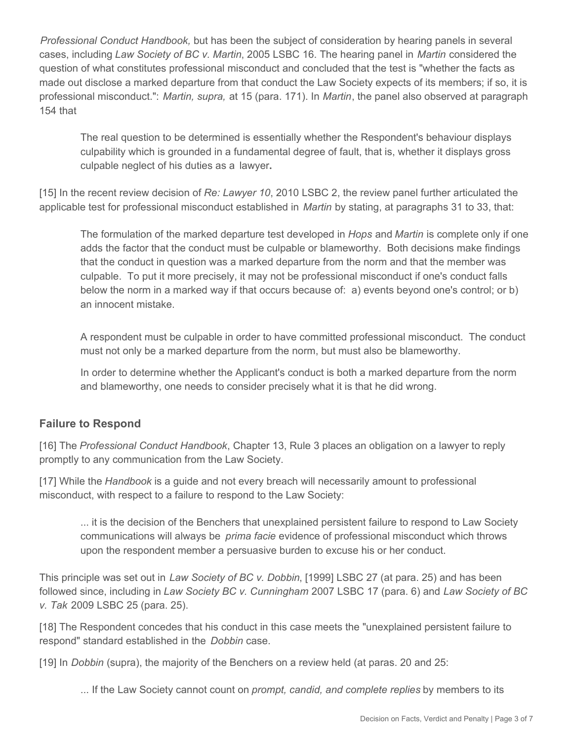*Professional Conduct Handbook,* but has been the subject of consideration by hearing panels in several cases, including *Law Society of BC v. Martin*, 2005 LSBC 16. The hearing panel in *Martin* considered the question of what constitutes professional misconduct and concluded that the test is "whether the facts as made out disclose a marked departure from that conduct the Law Society expects of its members; if so, it is professional misconduct.": *Martin, supra,* at 15 (para. 171). In *Martin*, the panel also observed at paragraph 154 that

The real question to be determined is essentially whether the Respondent's behaviour displays culpability which is grounded in a fundamental degree of fault, that is, whether it displays gross culpable neglect of his duties as a lawyer**.**

[15] In the recent review decision of *Re: Lawyer 10*, 2010 LSBC 2, the review panel further articulated the applicable test for professional misconduct established in *Martin* by stating, at paragraphs 31 to 33, that:

The formulation of the marked departure test developed in *Hops* and *Martin* is complete only if one adds the factor that the conduct must be culpable or blameworthy. Both decisions make findings that the conduct in question was a marked departure from the norm and that the member was culpable. To put it more precisely, it may not be professional misconduct if one's conduct falls below the norm in a marked way if that occurs because of: a) events beyond one's control; or b) an innocent mistake.

A respondent must be culpable in order to have committed professional misconduct. The conduct must not only be a marked departure from the norm, but must also be blameworthy.

In order to determine whether the Applicant's conduct is both a marked departure from the norm and blameworthy, one needs to consider precisely what it is that he did wrong.

#### **Failure to Respond**

[16] The *Professional Conduct Handbook*, Chapter 13, Rule 3 places an obligation on a lawyer to reply promptly to any communication from the Law Society.

[17] While the *Handbook* is a guide and not every breach will necessarily amount to professional misconduct, with respect to a failure to respond to the Law Society:

... it is the decision of the Benchers that unexplained persistent failure to respond to Law Society communications will always be *prima facie* evidence of professional misconduct which throws upon the respondent member a persuasive burden to excuse his or her conduct.

This principle was set out in *Law Society of BC v. Dobbin*, [1999] LSBC 27 (at para. 25) and has been followed since, including in *Law Society BC v. Cunningham* 2007 LSBC 17 (para. 6) and *Law Society of BC v. Tak* 2009 LSBC 25 (para. 25).

[18] The Respondent concedes that his conduct in this case meets the "unexplained persistent failure to respond" standard established in the *Dobbin* case.

[19] In *Dobbin* (supra), the majority of the Benchers on a review held (at paras. 20 and 25:

... If the Law Society cannot count on *prompt, candid, and complete replies* by members to its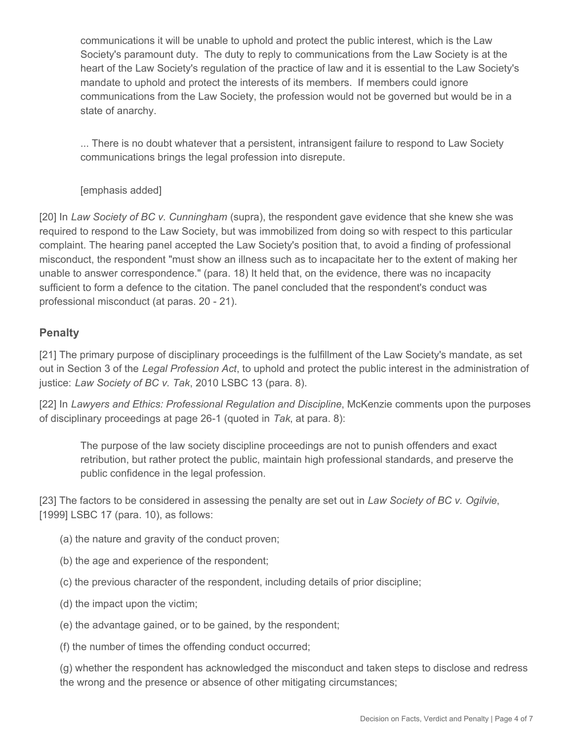communications it will be unable to uphold and protect the public interest, which is the Law Society's paramount duty. The duty to reply to communications from the Law Society is at the heart of the Law Society's regulation of the practice of law and it is essential to the Law Society's mandate to uphold and protect the interests of its members. If members could ignore communications from the Law Society, the profession would not be governed but would be in a state of anarchy.

... There is no doubt whatever that a persistent, intransigent failure to respond to Law Society communications brings the legal profession into disrepute.

[emphasis added]

[20] In *Law Society of BC v. Cunningham* (supra), the respondent gave evidence that she knew she was required to respond to the Law Society, but was immobilized from doing so with respect to this particular complaint. The hearing panel accepted the Law Society's position that, to avoid a finding of professional misconduct, the respondent "must show an illness such as to incapacitate her to the extent of making her unable to answer correspondence." (para. 18) It held that, on the evidence, there was no incapacity sufficient to form a defence to the citation. The panel concluded that the respondent's conduct was professional misconduct (at paras. 20 - 21).

## **Penalty**

[21] The primary purpose of disciplinary proceedings is the fulfillment of the Law Society's mandate, as set out in Section 3 of the *Legal Profession Act*, to uphold and protect the public interest in the administration of justice: *Law Society of BC v. Tak*, 2010 LSBC 13 (para. 8).

[22] In *Lawyers and Ethics: Professional Regulation and Discipline*, McKenzie comments upon the purposes of disciplinary proceedings at page 26-1 (quoted in *Tak*, at para. 8):

The purpose of the law society discipline proceedings are not to punish offenders and exact retribution, but rather protect the public, maintain high professional standards, and preserve the public confidence in the legal profession.

[23] The factors to be considered in assessing the penalty are set out in *Law Society of BC v. Ogilvie*, [1999] LSBC 17 (para. 10), as follows:

- (a) the nature and gravity of the conduct proven;
- (b) the age and experience of the respondent;
- (c) the previous character of the respondent, including details of prior discipline;
- (d) the impact upon the victim;
- (e) the advantage gained, or to be gained, by the respondent;

(f) the number of times the offending conduct occurred;

(g) whether the respondent has acknowledged the misconduct and taken steps to disclose and redress the wrong and the presence or absence of other mitigating circumstances;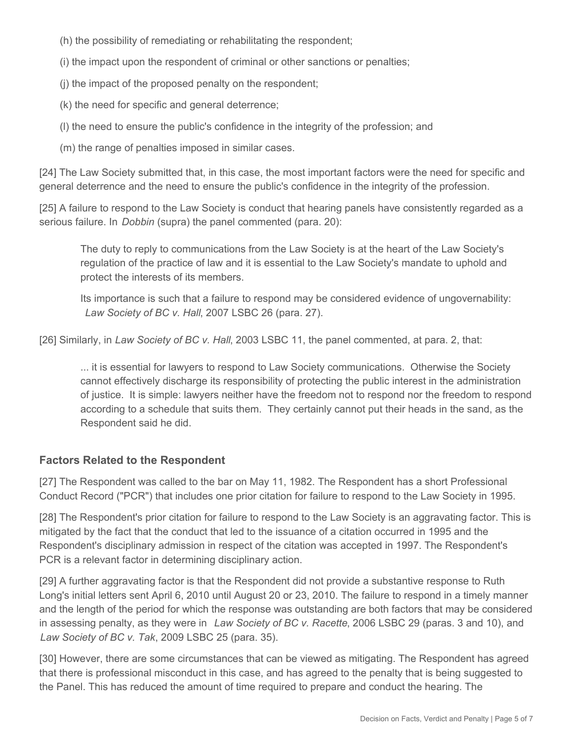(h) the possibility of remediating or rehabilitating the respondent;

(i) the impact upon the respondent of criminal or other sanctions or penalties;

- (j) the impact of the proposed penalty on the respondent;
- (k) the need for specific and general deterrence;
- (l) the need to ensure the public's confidence in the integrity of the profession; and
- (m) the range of penalties imposed in similar cases.

[24] The Law Society submitted that, in this case, the most important factors were the need for specific and general deterrence and the need to ensure the public's confidence in the integrity of the profession.

[25] A failure to respond to the Law Society is conduct that hearing panels have consistently regarded as a serious failure. In *Dobbin* (supra) the panel commented (para. 20):

The duty to reply to communications from the Law Society is at the heart of the Law Society's regulation of the practice of law and it is essential to the Law Society's mandate to uphold and protect the interests of its members.

Its importance is such that a failure to respond may be considered evidence of ungovernability: *Law Society of BC v. Hall*, 2007 LSBC 26 (para. 27).

[26] Similarly, in *Law Society of BC v. Hall*, 2003 LSBC 11, the panel commented, at para. 2, that:

... it is essential for lawyers to respond to Law Society communications. Otherwise the Society cannot effectively discharge its responsibility of protecting the public interest in the administration of justice. It is simple: lawyers neither have the freedom not to respond nor the freedom to respond according to a schedule that suits them. They certainly cannot put their heads in the sand, as the Respondent said he did.

#### **Factors Related to the Respondent**

[27] The Respondent was called to the bar on May 11, 1982. The Respondent has a short Professional Conduct Record ("PCR") that includes one prior citation for failure to respond to the Law Society in 1995.

[28] The Respondent's prior citation for failure to respond to the Law Society is an aggravating factor. This is mitigated by the fact that the conduct that led to the issuance of a citation occurred in 1995 and the Respondent's disciplinary admission in respect of the citation was accepted in 1997. The Respondent's PCR is a relevant factor in determining disciplinary action.

[29] A further aggravating factor is that the Respondent did not provide a substantive response to Ruth Long's initial letters sent April 6, 2010 until August 20 or 23, 2010. The failure to respond in a timely manner and the length of the period for which the response was outstanding are both factors that may be considered in assessing penalty, as they were in *Law Society of BC v. Racette*, 2006 LSBC 29 (paras. 3 and 10), and *Law Society of BC v. Tak*, 2009 LSBC 25 (para. 35).

[30] However, there are some circumstances that can be viewed as mitigating. The Respondent has agreed that there is professional misconduct in this case, and has agreed to the penalty that is being suggested to the Panel. This has reduced the amount of time required to prepare and conduct the hearing. The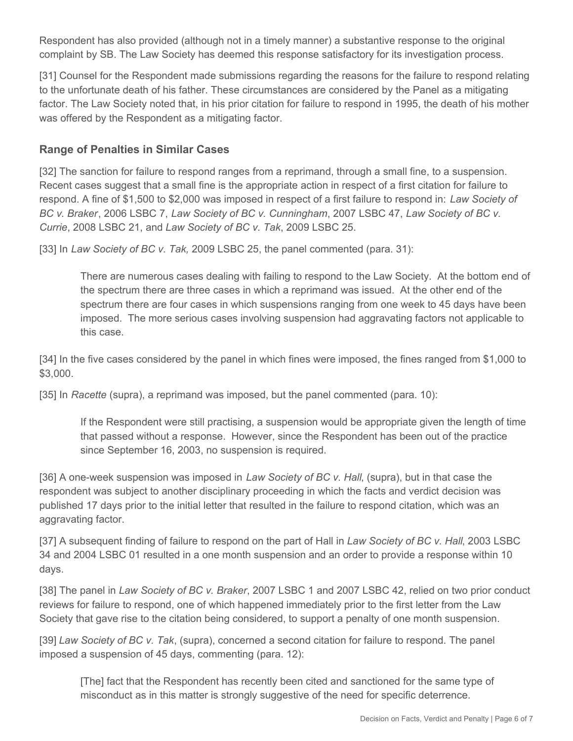Respondent has also provided (although not in a timely manner) a substantive response to the original complaint by SB. The Law Society has deemed this response satisfactory for its investigation process.

[31] Counsel for the Respondent made submissions regarding the reasons for the failure to respond relating to the unfortunate death of his father. These circumstances are considered by the Panel as a mitigating factor. The Law Society noted that, in his prior citation for failure to respond in 1995, the death of his mother was offered by the Respondent as a mitigating factor.

## **Range of Penalties in Similar Cases**

[32] The sanction for failure to respond ranges from a reprimand, through a small fine, to a suspension. Recent cases suggest that a small fine is the appropriate action in respect of a first citation for failure to respond. A fine of \$1,500 to \$2,000 was imposed in respect of a first failure to respond in: *Law Society of BC v. Braker*, 2006 LSBC 7, *Law Society of BC v. Cunningham*, 2007 LSBC 47, *Law Society of BC v. Currie*, 2008 LSBC 21, and *Law Society of BC v. Tak*, 2009 LSBC 25.

[33] In *Law Society of BC v. Tak,* 2009 LSBC 25, the panel commented (para. 31):

There are numerous cases dealing with failing to respond to the Law Society. At the bottom end of the spectrum there are three cases in which a reprimand was issued. At the other end of the spectrum there are four cases in which suspensions ranging from one week to 45 days have been imposed. The more serious cases involving suspension had aggravating factors not applicable to this case.

[34] In the five cases considered by the panel in which fines were imposed, the fines ranged from \$1,000 to \$3,000.

[35] In *Racette* (supra), a reprimand was imposed, but the panel commented (para. 10):

If the Respondent were still practising, a suspension would be appropriate given the length of time that passed without a response. However, since the Respondent has been out of the practice since September 16, 2003, no suspension is required.

[36] A one-week suspension was imposed in *Law Society of BC v. Hall*, (supra), but in that case the respondent was subject to another disciplinary proceeding in which the facts and verdict decision was published 17 days prior to the initial letter that resulted in the failure to respond citation, which was an aggravating factor.

[37] A subsequent finding of failure to respond on the part of Hall in *Law Society of BC v. Hall*, 2003 LSBC 34 and 2004 LSBC 01 resulted in a one month suspension and an order to provide a response within 10 days.

[38] The panel in *Law Society of BC v. Braker*, 2007 LSBC 1 and 2007 LSBC 42, relied on two prior conduct reviews for failure to respond, one of which happened immediately prior to the first letter from the Law Society that gave rise to the citation being considered, to support a penalty of one month suspension.

[39] *Law Society of BC v. Tak*, (supra), concerned a second citation for failure to respond. The panel imposed a suspension of 45 days, commenting (para. 12):

[The] fact that the Respondent has recently been cited and sanctioned for the same type of misconduct as in this matter is strongly suggestive of the need for specific deterrence.